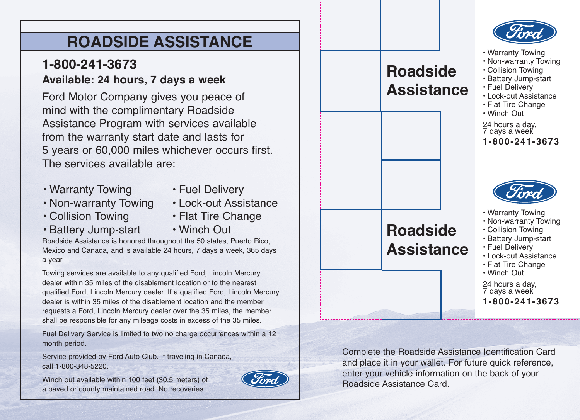# **ROADSIDE ASSISTANCE**

## **1-800-241-3673 Available: 24 hours, 7 days a week**

Ford Motor Company gives you peace of mind with the complimentary Roadside Assistance Program with services available from the warranty start date and lasts for 5 years or 60,000 miles whichever occurs first. The services available are:

- Warranty Towing
- Fuel Delivery
- Non-warranty Towing
- Lock-out Assistance
- Collision Towing
- Flat Tire Change
- Battery Jump-start
- Winch Out

Roadside Assistance is honored throughout the 50 states, Puerto Rico, Mexico and Canada, and is available 24 hours, 7 days a week, 365 days a year.

Towing services are available to any qualified Ford, Lincoln Mercury dealer within 35 miles of the disablement location or to the nearest qualified Ford, Lincoln Mercury dealer. If a qualified Ford, Lincoln Mercury dealer is within 35 miles of the disablement location and the member requests a Ford, Lincoln Mercury dealer over the 35 miles, the member shall be responsible for any mileage costs in excess of the 35 miles.

Fuel Delivery Service is limited to two no charge occurrences within a 12 month period.

Service provided by Ford Auto Club. If traveling in Canada, call 1-800-348-5220.

Winch out available within 100 feet (30.5 meters) of a paved or county maintained road. No recoveries.





Complete the Roadside Assistance Identification Card and place it in your wallet. For future quick reference, enter your vehicle information on the back of your Roadside Assistance Card.